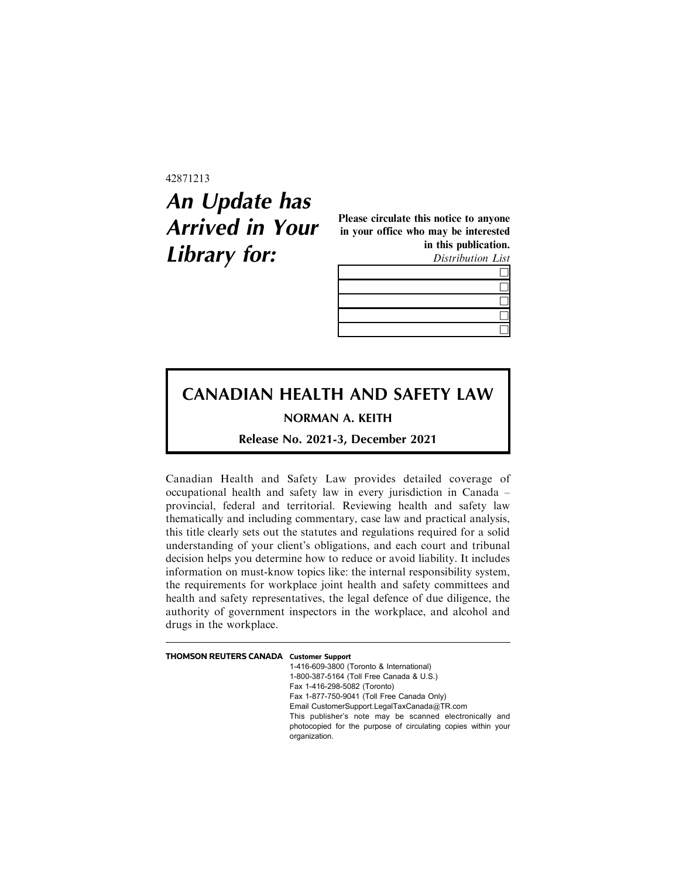42871213

## **An Update has Arrived in Your Library for:**

Please circulate this notice to anyone in your office who may be interested in this publication.

Distribution List

## **CANADIAN HEALTH AND SAFETY LAW**

**NORMAN A. KEITH**

**Release No. 2021-3, December 2021**

Canadian Health and Safety Law provides detailed coverage of occupational health and safety law in every jurisdiction in Canada – provincial, federal and territorial. Reviewing health and safety law thematically and including commentary, case law and practical analysis, this title clearly sets out the statutes and regulations required for a solid understanding of your client's obligations, and each court and tribunal decision helps you determine how to reduce or avoid liability. It includes information on must-know topics like: the internal responsibility system, the requirements for workplace joint health and safety committees and health and safety representatives, the legal defence of due diligence, the authority of government inspectors in the workplace, and alcohol and drugs in the workplace.

| THOMSON REUTERS CANADA Customer Support |                                                                                |
|-----------------------------------------|--------------------------------------------------------------------------------|
|                                         | 1-416-609-3800 (Toronto & International)                                       |
|                                         | 1-800-387-5164 (Toll Free Canada & U.S.)                                       |
|                                         | Fax 1-416-298-5082 (Toronto)                                                   |
|                                         | Fax 1-877-750-9041 (Toll Free Canada Only)                                     |
|                                         | Email CustomerSupport.LegalTaxCanada@TR.com                                    |
|                                         | This publisher's note may be scanned electronically and                        |
|                                         | photocopied for the purpose of circulating copies within your<br>organization. |
|                                         |                                                                                |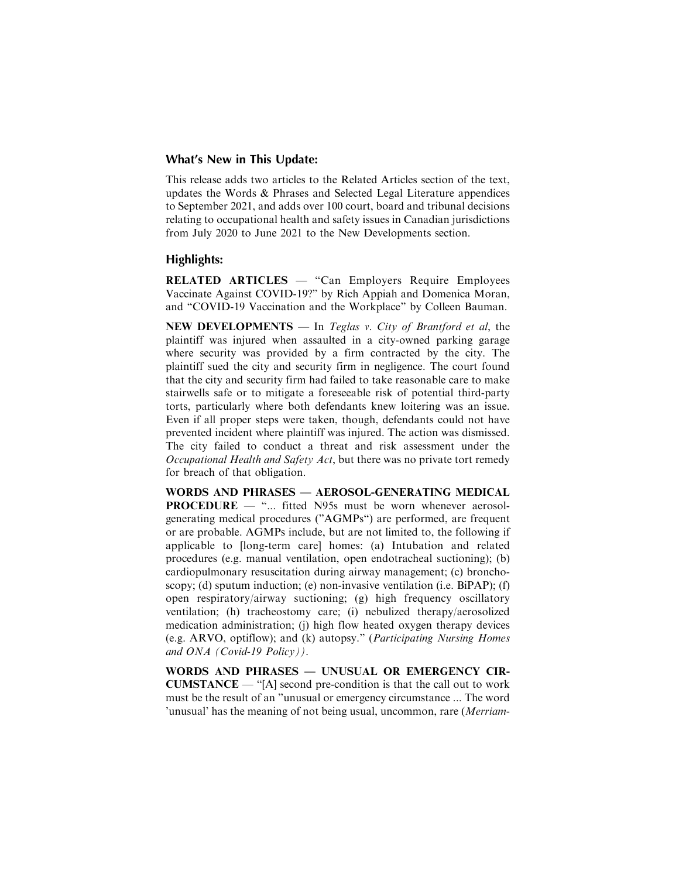## **What's New in This Update:**

This release adds two articles to the Related Articles section of the text, updates the Words & Phrases and Selected Legal Literature appendices to September 2021, and adds over 100 court, board and tribunal decisions relating to occupational health and safety issues in Canadian jurisdictions from July 2020 to June 2021 to the New Developments section.

## **Highlights:**

RELATED ARTICLES — "Can Employers Require Employees Vaccinate Against COVID-19?" by Rich Appiah and Domenica Moran, and "COVID-19 Vaccination and the Workplace" by Colleen Bauman.

NEW DEVELOPMENTS — In Teglas v. City of Brantford et al, the plaintiff was injured when assaulted in a city-owned parking garage where security was provided by a firm contracted by the city. The plaintiff sued the city and security firm in negligence. The court found that the city and security firm had failed to take reasonable care to make stairwells safe or to mitigate a foreseeable risk of potential third-party torts, particularly where both defendants knew loitering was an issue. Even if all proper steps were taken, though, defendants could not have prevented incident where plaintiff was injured. The action was dismissed. The city failed to conduct a threat and risk assessment under the Occupational Health and Safety Act, but there was no private tort remedy for breach of that obligation.

WORDS AND PHRASES — AEROSOL-GENERATING MEDICAL PROCEDURE — "... fitted N95s must be worn whenever aerosolgenerating medical procedures ("AGMPs") are performed, are frequent or are probable. AGMPs include, but are not limited to, the following if applicable to [long-term care] homes: (a) Intubation and related procedures (e.g. manual ventilation, open endotracheal suctioning); (b) cardiopulmonary resuscitation during airway management; (c) bronchoscopy; (d) sputum induction; (e) non-invasive ventilation (i.e. BiPAP); (f) open respiratory/airway suctioning; (g) high frequency oscillatory ventilation; (h) tracheostomy care; (i) nebulized therapy/aerosolized medication administration; (j) high flow heated oxygen therapy devices (e.g. ARVO, optiflow); and (k) autopsy." (Participating Nursing Homes and ONA (Covid-19 Policy)).

WORDS AND PHRASES — UNUSUAL OR EMERGENCY CIR-CUMSTANCE — "[A] second pre-condition is that the call out to work must be the result of an "unusual or emergency circumstance ... The word 'unusual' has the meaning of not being usual, uncommon, rare (Merriam-